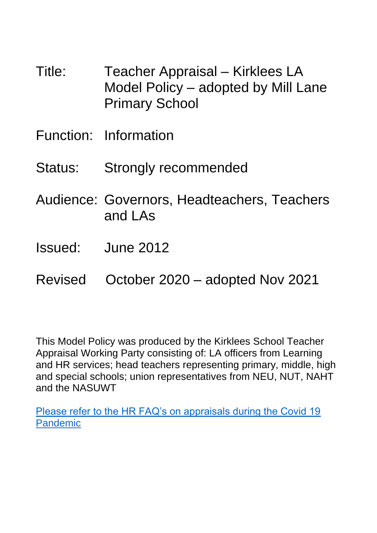- Title: Teacher Appraisal Kirklees LA Model Policy – adopted by Mill Lane Primary School
- Function: Information
- Status: Strongly recommended
- Audience: Governors, Headteachers, Teachers and LAs
- Issued: June 2012
- Revised October 2020 adopted Nov 2021

This Model Policy was produced by the Kirklees School Teacher Appraisal Working Party consisting of: LA officers from Learning and HR services; head teachers representing primary, middle, high and special schools; union representatives from NEU, NUT, NAHT and the NASUWT

[Please refer to the HR FAQ's on appraisals during the Covid 19](http://kirkleesbusinesssolutions.uk/Page/13195)  [Pandemic](http://kirkleesbusinesssolutions.uk/Page/13195)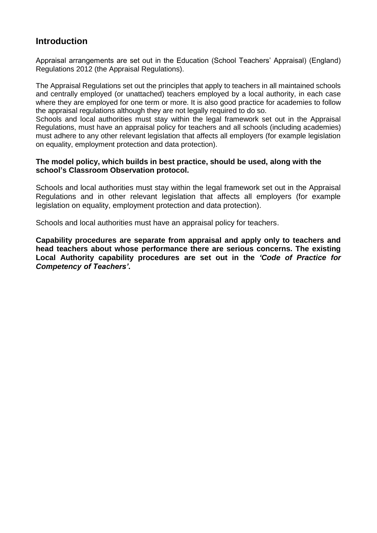# **Introduction**

Appraisal arrangements are set out in the Education (School Teachers' Appraisal) (England) Regulations 2012 (the Appraisal Regulations).

The Appraisal Regulations set out the principles that apply to teachers in all maintained schools and centrally employed (or unattached) teachers employed by a local authority, in each case where they are employed for one term or more. It is also good practice for academies to follow the appraisal regulations although they are not legally required to do so.

Schools and local authorities must stay within the legal framework set out in the Appraisal Regulations, must have an appraisal policy for teachers and all schools (including academies) must adhere to any other relevant legislation that affects all employers (for example legislation on equality, employment protection and data protection).

#### **The model policy, which builds in best practice, should be used, along with the school's Classroom Observation protocol.**

Schools and local authorities must stay within the legal framework set out in the Appraisal Regulations and in other relevant legislation that affects all employers (for example legislation on equality, employment protection and data protection).

Schools and local authorities must have an appraisal policy for teachers.

**Capability procedures are separate from appraisal and apply only to teachers and head teachers about whose performance there are serious concerns. The existing Local Authority capability procedures are set out in the** *'Code of Practice for Competency of Teachers'***.**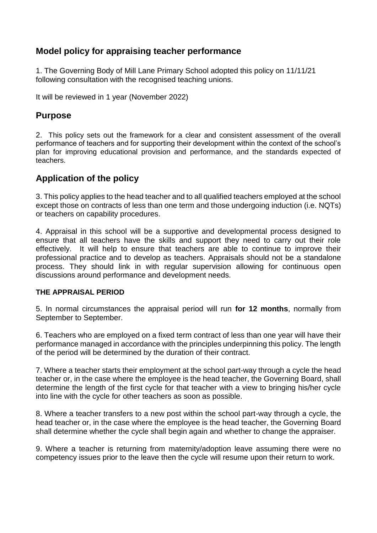# **Model policy for appraising teacher performance**

1. The Governing Body of Mill Lane Primary School adopted this policy on 11/11/21 following consultation with the recognised teaching unions.

It will be reviewed in 1 year (November 2022)

### **Purpose**

2. This policy sets out the framework for a clear and consistent assessment of the overall performance of teachers and for supporting their development within the context of the school's plan for improving educational provision and performance, and the standards expected of teachers.

## **Application of the policy**

3. This policy applies to the head teacher and to all qualified teachers employed at the school except those on contracts of less than one term and those undergoing induction (i.e. NQTs) or teachers on capability procedures.

4. Appraisal in this school will be a supportive and developmental process designed to ensure that all teachers have the skills and support they need to carry out their role effectively. It will help to ensure that teachers are able to continue to improve their professional practice and to develop as teachers. Appraisals should not be a standalone process. They should link in with regular supervision allowing for continuous open discussions around performance and development needs.

#### **THE APPRAISAL PERIOD**

5. In normal circumstances the appraisal period will run **for 12 months**, normally from September to September.

6. Teachers who are employed on a fixed term contract of less than one year will have their performance managed in accordance with the principles underpinning this policy. The length of the period will be determined by the duration of their contract.

7. Where a teacher starts their employment at the school part-way through a cycle the head teacher or, in the case where the employee is the head teacher, the Governing Board, shall determine the length of the first cycle for that teacher with a view to bringing his/her cycle into line with the cycle for other teachers as soon as possible.

8. Where a teacher transfers to a new post within the school part-way through a cycle, the head teacher or, in the case where the employee is the head teacher, the Governing Board shall determine whether the cycle shall begin again and whether to change the appraiser.

9. Where a teacher is returning from maternity/adoption leave assuming there were no competency issues prior to the leave then the cycle will resume upon their return to work.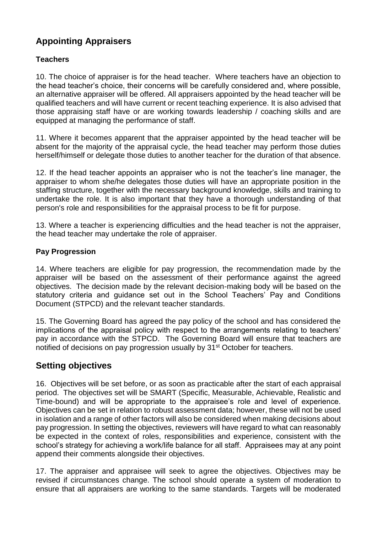# **Appointing Appraisers**

### **Teachers**

10. The choice of appraiser is for the head teacher. Where teachers have an objection to the head teacher's choice, their concerns will be carefully considered and, where possible, an alternative appraiser will be offered. All appraisers appointed by the head teacher will be qualified teachers and will have current or recent teaching experience. It is also advised that those appraising staff have or are working towards leadership / coaching skills and are equipped at managing the performance of staff.

11. Where it becomes apparent that the appraiser appointed by the head teacher will be absent for the majority of the appraisal cycle, the head teacher may perform those duties herself/himself or delegate those duties to another teacher for the duration of that absence.

12. If the head teacher appoints an appraiser who is not the teacher's line manager, the appraiser to whom she/he delegates those duties will have an appropriate position in the staffing structure, together with the necessary background knowledge, skills and training to undertake the role. It is also important that they have a thorough understanding of that person's role and responsibilities for the appraisal process to be fit for purpose.

13. Where a teacher is experiencing difficulties and the head teacher is not the appraiser, the head teacher may undertake the role of appraiser.

#### **Pay Progression**

14. Where teachers are eligible for pay progression, the recommendation made by the appraiser will be based on the assessment of their performance against the agreed objectives. The decision made by the relevant decision-making body will be based on the statutory criteria and guidance set out in the School Teachers' Pay and Conditions Document (STPCD) and the relevant teacher standards.

15. The Governing Board has agreed the pay policy of the school and has considered the implications of the appraisal policy with respect to the arrangements relating to teachers' pay in accordance with the STPCD. The Governing Board will ensure that teachers are notified of decisions on pay progression usually by 31<sup>st</sup> October for teachers.

## **Setting objectives**

16. Objectives will be set before, or as soon as practicable after the start of each appraisal period. The objectives set will be SMART (Specific, Measurable, Achievable, Realistic and Time-bound) and will be appropriate to the appraisee's role and level of experience. Objectives can be set in relation to robust assessment data; however, these will not be used in isolation and a range of other factors will also be considered when making decisions about pay progression. In setting the objectives, reviewers will have regard to what can reasonably be expected in the context of roles, responsibilities and experience, consistent with the school's strategy for achieving a work/life balance for all staff. Appraisees may at any point append their comments alongside their objectives.

17. The appraiser and appraisee will seek to agree the objectives. Objectives may be revised if circumstances change. The school should operate a system of moderation to ensure that all appraisers are working to the same standards. Targets will be moderated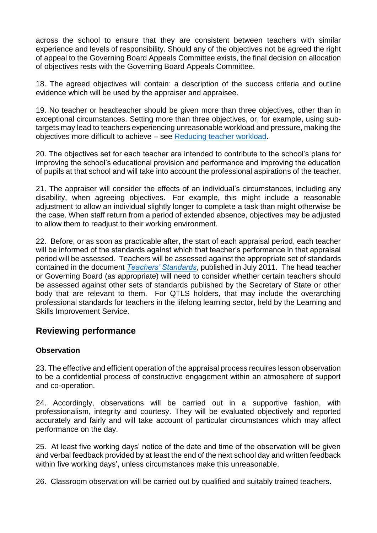across the school to ensure that they are consistent between teachers with similar experience and levels of responsibility. Should any of the objectives not be agreed the right of appeal to the Governing Board Appeals Committee exists, the final decision on allocation of objectives rests with the Governing Board Appeals Committee.

18. The agreed objectives will contain: a description of the success criteria and outline evidence which will be used by the appraiser and appraisee.

19. No teacher or headteacher should be given more than three objectives, other than in exceptional circumstances. Setting more than three objectives, or, for example, using subtargets may lead to teachers experiencing unreasonable workload and pressure, making the objectives more difficult to achieve – see [Reducing teacher workload.](https://www.gov.uk/government/collections/reducing-school-workload)

20. The objectives set for each teacher are intended to contribute to the school's plans for improving the school's educational provision and performance and improving the education of pupils at that school and will take into account the professional aspirations of the teacher.

21. The appraiser will consider the effects of an individual's circumstances, including any disability, when agreeing objectives. For example, this might include a reasonable adjustment to allow an individual slightly longer to complete a task than might otherwise be the case. When staff return from a period of extended absence, objectives may be adjusted to allow them to readjust to their working environment.

22. Before, or as soon as practicable after, the start of each appraisal period, each teacher will be informed of the standards against which that teacher's performance in that appraisal period will be assessed. Teachers will be assessed against the appropriate set of standards contained in the document *[Teachers' Standards](https://www.gov.uk/government/publications/teachers-standards)*, published in July 2011. The head teacher or Governing Board (as appropriate) will need to consider whether certain teachers should be assessed against other sets of standards published by the Secretary of State or other body that are relevant to them. For QTLS holders, that may include the overarching professional standards for teachers in the lifelong learning sector, held by the Learning and Skills Improvement Service.

# **Reviewing performance**

### **Observation**

23. The effective and efficient operation of the appraisal process requires lesson observation to be a confidential process of constructive engagement within an atmosphere of support and co-operation.

24. Accordingly, observations will be carried out in a supportive fashion, with professionalism, integrity and courtesy. They will be evaluated objectively and reported accurately and fairly and will take account of particular circumstances which may affect performance on the day.

25. At least five working days' notice of the date and time of the observation will be given and verbal feedback provided by at least the end of the next school day and written feedback within five working days', unless circumstances make this unreasonable.

26. Classroom observation will be carried out by qualified and suitably trained teachers.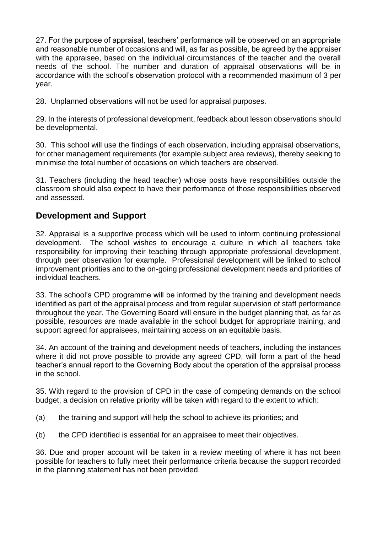27. For the purpose of appraisal, teachers' performance will be observed on an appropriate and reasonable number of occasions and will, as far as possible, be agreed by the appraiser with the appraisee, based on the individual circumstances of the teacher and the overall needs of the school. The number and duration of appraisal observations will be in accordance with the school's observation protocol with a recommended maximum of 3 per year.

28. Unplanned observations will not be used for appraisal purposes.

29. In the interests of professional development, feedback about lesson observations should be developmental.

30. This school will use the findings of each observation, including appraisal observations, for other management requirements (for example subject area reviews), thereby seeking to minimise the total number of occasions on which teachers are observed.

31. Teachers (including the head teacher) whose posts have responsibilities outside the classroom should also expect to have their performance of those responsibilities observed and assessed.

## **Development and Support**

32. Appraisal is a supportive process which will be used to inform continuing professional development. The school wishes to encourage a culture in which all teachers take responsibility for improving their teaching through appropriate professional development, through peer observation for example. Professional development will be linked to school improvement priorities and to the on-going professional development needs and priorities of individual teachers.

33. The school's CPD programme will be informed by the training and development needs identified as part of the appraisal process and from regular supervision of staff performance throughout the year. The Governing Board will ensure in the budget planning that, as far as possible, resources are made available in the school budget for appropriate training, and support agreed for appraisees, maintaining access on an equitable basis.

34. An account of the training and development needs of teachers, including the instances where it did not prove possible to provide any agreed CPD, will form a part of the head teacher's annual report to the Governing Body about the operation of the appraisal process in the school.

35. With regard to the provision of CPD in the case of competing demands on the school budget, a decision on relative priority will be taken with regard to the extent to which:

- (a) the training and support will help the school to achieve its priorities; and
- (b) the CPD identified is essential for an appraisee to meet their objectives.

36. Due and proper account will be taken in a review meeting of where it has not been possible for teachers to fully meet their performance criteria because the support recorded in the planning statement has not been provided.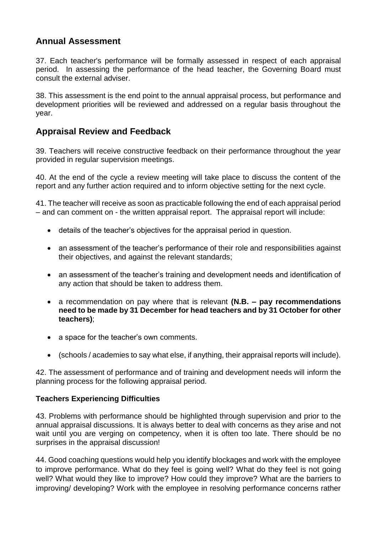# **Annual Assessment**

37. Each teacher's performance will be formally assessed in respect of each appraisal period. In assessing the performance of the head teacher, the Governing Board must consult the external adviser.

38. This assessment is the end point to the annual appraisal process, but performance and development priorities will be reviewed and addressed on a regular basis throughout the year.

## **Appraisal Review and Feedback**

39. Teachers will receive constructive feedback on their performance throughout the year provided in regular supervision meetings.

40. At the end of the cycle a review meeting will take place to discuss the content of the report and any further action required and to inform objective setting for the next cycle.

41. The teacher will receive as soon as practicable following the end of each appraisal period – and can comment on - the written appraisal report. The appraisal report will include:

- details of the teacher's objectives for the appraisal period in question.
- an assessment of the teacher's performance of their role and responsibilities against their objectives, and against the relevant standards;
- an assessment of the teacher's training and development needs and identification of any action that should be taken to address them.
- a recommendation on pay where that is relevant **(N.B. – pay recommendations need to be made by 31 December for head teachers and by 31 October for other teachers)**;
- a space for the teacher's own comments.
- (schools / academies to say what else, if anything, their appraisal reports will include).

42. The assessment of performance and of training and development needs will inform the planning process for the following appraisal period.

### **Teachers Experiencing Difficulties**

43. Problems with performance should be highlighted through supervision and prior to the annual appraisal discussions. It is always better to deal with concerns as they arise and not wait until you are verging on competency, when it is often too late. There should be no surprises in the appraisal discussion!

44. Good coaching questions would help you identify blockages and work with the employee to improve performance. What do they feel is going well? What do they feel is not going well? What would they like to improve? How could they improve? What are the barriers to improving/ developing? Work with the employee in resolving performance concerns rather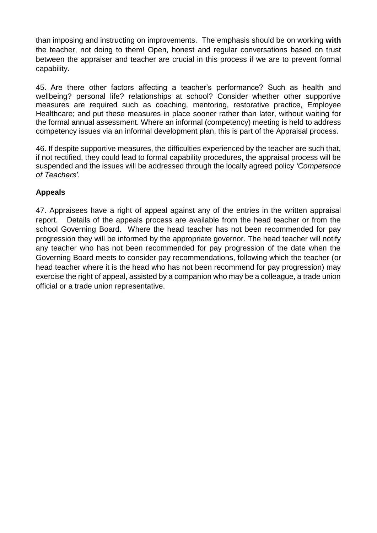than imposing and instructing on improvements. The emphasis should be on working **with** the teacher, not doing to them! Open, honest and regular conversations based on trust between the appraiser and teacher are crucial in this process if we are to prevent formal capability.

45. Are there other factors affecting a teacher's performance? Such as health and wellbeing? personal life? relationships at school? Consider whether other supportive measures are required such as coaching, mentoring, restorative practice, Employee Healthcare; and put these measures in place sooner rather than later, without waiting for the formal annual assessment. Where an informal (competency) meeting is held to address competency issues via an informal development plan, this is part of the Appraisal process.

46. If despite supportive measures, the difficulties experienced by the teacher are such that, if not rectified, they could lead to formal capability procedures, the appraisal process will be suspended and the issues will be addressed through the locally agreed policy *'Competence of Teachers'*.

### **Appeals**

47. Appraisees have a right of appeal against any of the entries in the written appraisal report. Details of the appeals process are available from the head teacher or from the school Governing Board. Where the head teacher has not been recommended for pay progression they will be informed by the appropriate governor. The head teacher will notify any teacher who has not been recommended for pay progression of the date when the Governing Board meets to consider pay recommendations, following which the teacher (or head teacher where it is the head who has not been recommend for pay progression) may exercise the right of appeal, assisted by a companion who may be a colleague, a trade union official or a trade union representative.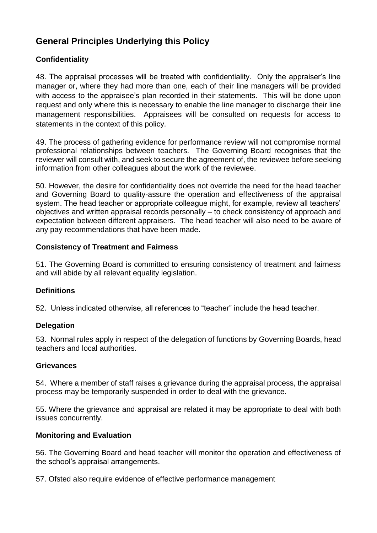# **General Principles Underlying this Policy**

### **Confidentiality**

48. The appraisal processes will be treated with confidentiality. Only the appraiser's line manager or, where they had more than one, each of their line managers will be provided with access to the appraisee's plan recorded in their statements. This will be done upon request and only where this is necessary to enable the line manager to discharge their line management responsibilities. Appraisees will be consulted on requests for access to statements in the context of this policy.

49. The process of gathering evidence for performance review will not compromise normal professional relationships between teachers. The Governing Board recognises that the reviewer will consult with, and seek to secure the agreement of, the reviewee before seeking information from other colleagues about the work of the reviewee.

50. However, the desire for confidentiality does not override the need for the head teacher and Governing Board to quality-assure the operation and effectiveness of the appraisal system. The head teacher or appropriate colleague might, for example, review all teachers' objectives and written appraisal records personally – to check consistency of approach and expectation between different appraisers. The head teacher will also need to be aware of any pay recommendations that have been made.

#### **Consistency of Treatment and Fairness**

51. The Governing Board is committed to ensuring consistency of treatment and fairness and will abide by all relevant equality legislation.

### **Definitions**

52. Unless indicated otherwise, all references to "teacher" include the head teacher.

#### **Delegation**

53. Normal rules apply in respect of the delegation of functions by Governing Boards, head teachers and local authorities.

#### **Grievances**

54. Where a member of staff raises a grievance during the appraisal process, the appraisal process may be temporarily suspended in order to deal with the grievance.

55. Where the grievance and appraisal are related it may be appropriate to deal with both issues concurrently.

#### **Monitoring and Evaluation**

56. The Governing Board and head teacher will monitor the operation and effectiveness of the school's appraisal arrangements.

57. Ofsted also require evidence of effective performance management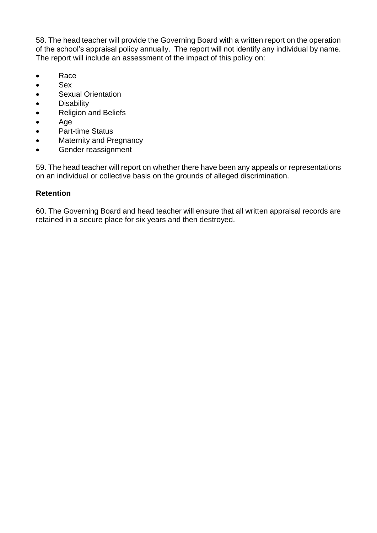58. The head teacher will provide the Governing Board with a written report on the operation of the school's appraisal policy annually. The report will not identify any individual by name. The report will include an assessment of the impact of this policy on:

- Race
- Sex
- **Sexual Orientation**
- **•** Disability
- Religion and Beliefs
- Age
- Part-time Status
- Maternity and Pregnancy
- **•** Gender reassignment

59. The head teacher will report on whether there have been any appeals or representations on an individual or collective basis on the grounds of alleged discrimination.

#### **Retention**

60. The Governing Board and head teacher will ensure that all written appraisal records are retained in a secure place for six years and then destroyed.